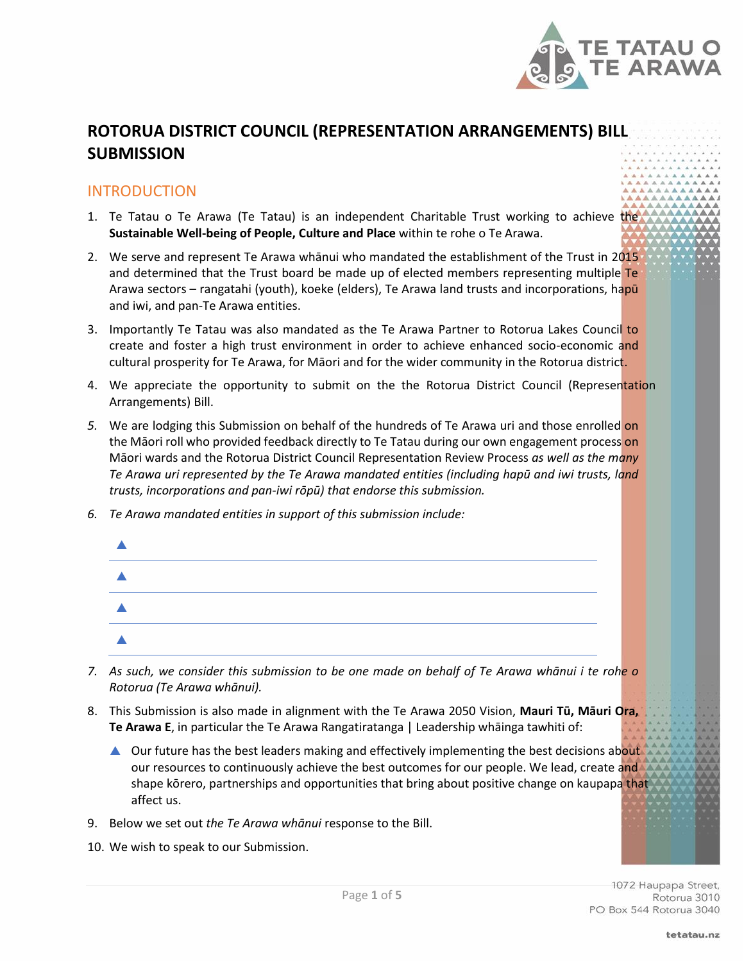

# **ROTORUA DISTRICT COUNCIL (REPRESENTATION ARRANGEMENTS) BILL SUBMISSION**

#### **INTRODUCTION**

- 1. Te Tatau o Te Arawa (Te Tatau) is an independent Charitable Trust working to achieve the **Sustainable Well-being of People, Culture and Place** within te rohe o Te Arawa.
- 2. We serve and represent Te Arawa whānui who mandated the establishment of the Trust in 2015 and determined that the Trust board be made up of elected members representing multiple Te Arawa sectors – rangatahi (youth), koeke (elders), Te Arawa land trusts and incorporations, hapū and iwi, and pan-Te Arawa entities.
- 3. Importantly Te Tatau was also mandated as the Te Arawa Partner to Rotorua Lakes Council to create and foster a high trust environment in order to achieve enhanced socio-economic and cultural prosperity for Te Arawa, for Māori and for the wider community in the Rotorua district.
- 4. We appreciate the opportunity to submit on the the Rotorua District Council (Representation Arrangements) Bill.
- *5.* We are lodging this Submission on behalf of the hundreds of Te Arawa uri and those enrolled on the Māori roll who provided feedback directly to Te Tatau during our own engagement process on Māori wards and the Rotorua District Council Representation Review Process *as well as the many Te Arawa uri represented by the Te Arawa mandated entities (including hapū and iwi trusts, land trusts, incorporations and pan-iwi rōpū) that endorse this submission.*
- *6. Te Arawa mandated entities in support of this submission include:*

- *7. As such, we consider this submission to be one made on behalf of Te Arawa whānui i te rohe o Rotorua (Te Arawa whānui).*
- 8. This Submission is also made in alignment with the Te Arawa 2050 Vision, **Mauri Tū, Māuri Ora, Te Arawa E**, in particular the Te Arawa Rangatiratanga | Leadership whāinga tawhiti of:
	- ▲ Our future has the best leaders making and effectively implementing the best decisions about our resources to continuously achieve the best outcomes for our people. We lead, create and shape kōrero, partnerships and opportunities that bring about positive change on kaupapa that affect us.
- 9. Below we set out *the Te Arawa whānui* response to the Bill.
- 10. We wish to speak to our Submission.

1072 Haupapa Street, Rotorua 3010 PO Box 544 Rotorua 3040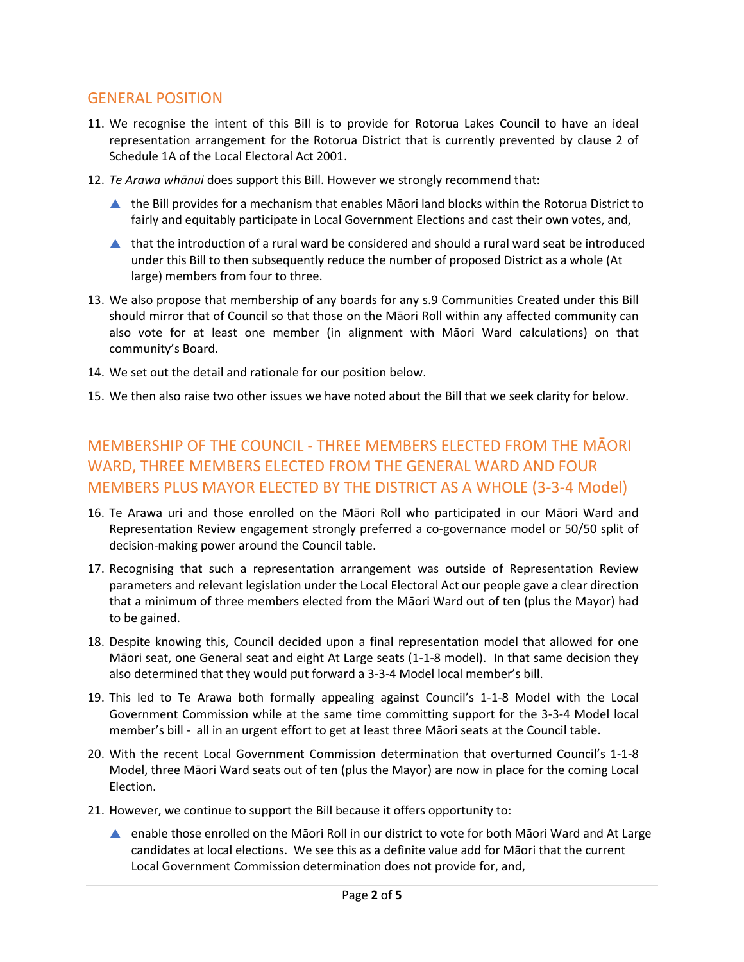#### GENERAL POSITION

- 11. We recognise the intent of this Bill is to provide for Rotorua Lakes Council to have an ideal representation arrangement for the Rotorua District that is currently prevented by clause 2 of Schedule 1A of the Local Electoral Act 2001.
- 12. *Te Arawa whānui* does support this Bill. However we strongly recommend that:
	- the Bill provides for a mechanism that enables Māori land blocks within the Rotorua District to fairly and equitably participate in Local Government Elections and cast their own votes, and,
	- that the introduction of a rural ward be considered and should a rural ward seat be introduced under this Bill to then subsequently reduce the number of proposed District as a whole (At large) members from four to three.
- 13. We also propose that membership of any boards for any s.9 Communities Created under this Bill should mirror that of Council so that those on the Māori Roll within any affected community can also vote for at least one member (in alignment with Māori Ward calculations) on that community's Board.
- 14. We set out the detail and rationale for our position below.
- 15. We then also raise two other issues we have noted about the Bill that we seek clarity for below.

### MEMBERSHIP OF THE COUNCIL - THREE MEMBERS ELECTED FROM THE MĀORI WARD, THREE MEMBERS ELECTED FROM THE GENERAL WARD AND FOUR MEMBERS PLUS MAYOR ELECTED BY THE DISTRICT AS A WHOLE (3-3-4 Model)

- 16. Te Arawa uri and those enrolled on the Māori Roll who participated in our Māori Ward and Representation Review engagement strongly preferred a co-governance model or 50/50 split of decision-making power around the Council table.
- 17. Recognising that such a representation arrangement was outside of Representation Review parameters and relevant legislation under the Local Electoral Act our people gave a clear direction that a minimum of three members elected from the Māori Ward out of ten (plus the Mayor) had to be gained.
- 18. Despite knowing this, Council decided upon a final representation model that allowed for one Māori seat, one General seat and eight At Large seats (1-1-8 model). In that same decision they also determined that they would put forward a 3-3-4 Model local member's bill.
- 19. This led to Te Arawa both formally appealing against Council's 1-1-8 Model with the Local Government Commission while at the same time committing support for the 3-3-4 Model local member's bill - all in an urgent effort to get at least three Māori seats at the Council table.
- 20. With the recent Local Government Commission determination that overturned Council's 1-1-8 Model, three Māori Ward seats out of ten (plus the Mayor) are now in place for the coming Local Election.
- 21. However, we continue to support the Bill because it offers opportunity to:
	- enable those enrolled on the Māori Roll in our district to vote for both Māori Ward and At Large candidates at local elections. We see this as a definite value add for Māori that the current Local Government Commission determination does not provide for, and,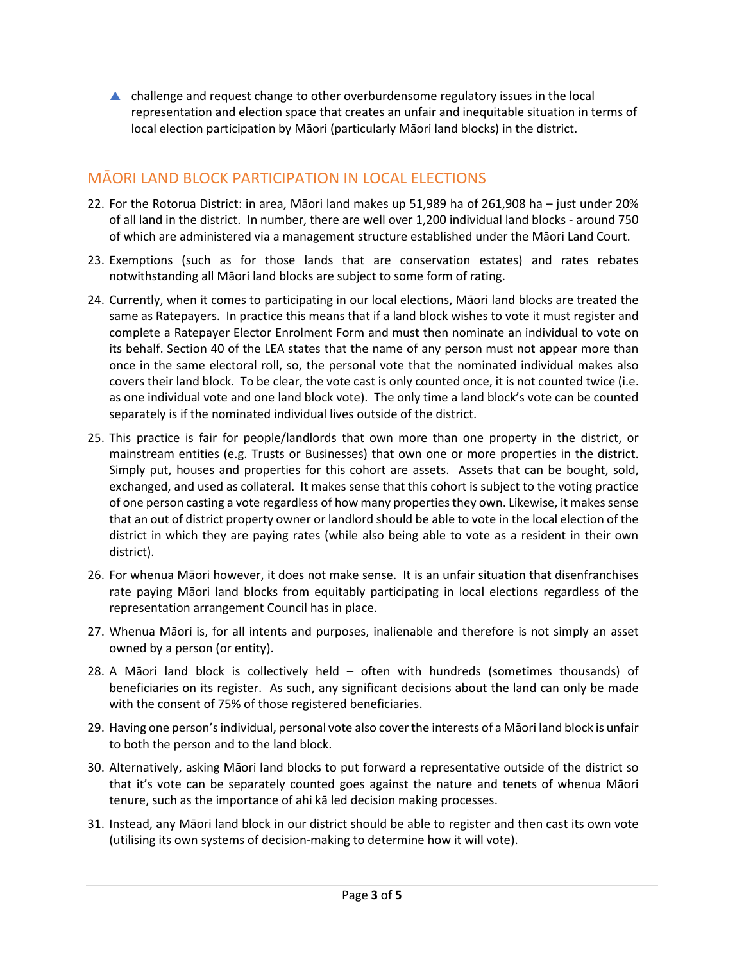challenge and request change to other overburdensome regulatory issues in the local representation and election space that creates an unfair and inequitable situation in terms of local election participation by Māori (particularly Māori land blocks) in the district.

# MĀORI LAND BLOCK PARTICIPATION IN LOCAL ELECTIONS

- 22. For the Rotorua District: in area, Māori land makes up 51,989 ha of 261,908 ha just under 20% of all land in the district. In number, there are well over 1,200 individual land blocks - around 750 of which are administered via a management structure established under the Māori Land Court.
- 23. Exemptions (such as for those lands that are conservation estates) and rates rebates notwithstanding all Māori land blocks are subject to some form of rating.
- 24. Currently, when it comes to participating in our local elections, Māori land blocks are treated the same as Ratepayers. In practice this means that if a land block wishes to vote it must register and complete a Ratepayer Elector Enrolment Form and must then nominate an individual to vote on its behalf. Section 40 of the LEA states that the name of any person must not appear more than once in the same electoral roll, so, the personal vote that the nominated individual makes also covers their land block. To be clear, the vote cast is only counted once, it is not counted twice (i.e. as one individual vote and one land block vote). The only time a land block's vote can be counted separately is if the nominated individual lives outside of the district.
- 25. This practice is fair for people/landlords that own more than one property in the district, or mainstream entities (e.g. Trusts or Businesses) that own one or more properties in the district. Simply put, houses and properties for this cohort are assets. Assets that can be bought, sold, exchanged, and used as collateral. It makes sense that this cohort is subject to the voting practice of one person casting a vote regardless of how many properties they own. Likewise, it makes sense that an out of district property owner or landlord should be able to vote in the local election of the district in which they are paying rates (while also being able to vote as a resident in their own district).
- 26. For whenua Māori however, it does not make sense. It is an unfair situation that disenfranchises rate paying Māori land blocks from equitably participating in local elections regardless of the representation arrangement Council has in place.
- 27. Whenua Māori is, for all intents and purposes, inalienable and therefore is not simply an asset owned by a person (or entity).
- 28. A Māori land block is collectively held often with hundreds (sometimes thousands) of beneficiaries on its register. As such, any significant decisions about the land can only be made with the consent of 75% of those registered beneficiaries.
- 29. Having one person's individual, personal vote also cover the interests of a Māori land block is unfair to both the person and to the land block.
- 30. Alternatively, asking Māori land blocks to put forward a representative outside of the district so that it's vote can be separately counted goes against the nature and tenets of whenua Māori tenure, such as the importance of ahi kā led decision making processes.
- 31. Instead, any Māori land block in our district should be able to register and then cast its own vote (utilising its own systems of decision-making to determine how it will vote).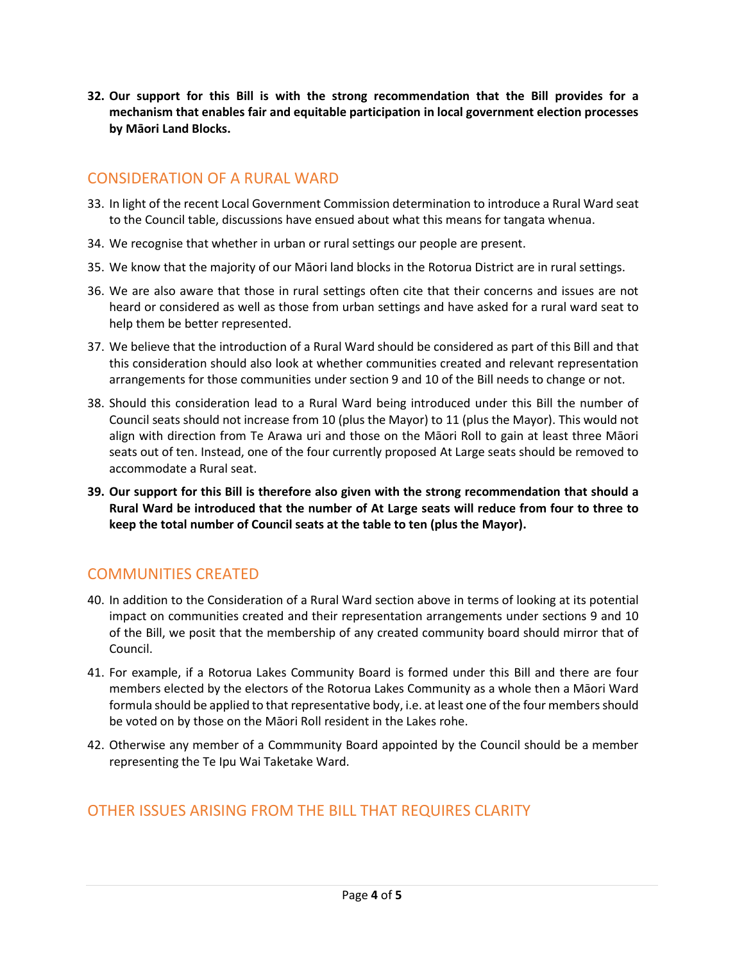**32. Our support for this Bill is with the strong recommendation that the Bill provides for a mechanism that enables fair and equitable participation in local government election processes by Māori Land Blocks.**

### CONSIDERATION OF A RURAL WARD

- 33. In light of the recent Local Government Commission determination to introduce a Rural Ward seat to the Council table, discussions have ensued about what this means for tangata whenua.
- 34. We recognise that whether in urban or rural settings our people are present.
- 35. We know that the majority of our Māori land blocks in the Rotorua District are in rural settings.
- 36. We are also aware that those in rural settings often cite that their concerns and issues are not heard or considered as well as those from urban settings and have asked for a rural ward seat to help them be better represented.
- 37. We believe that the introduction of a Rural Ward should be considered as part of this Bill and that this consideration should also look at whether communities created and relevant representation arrangements for those communities under section 9 and 10 of the Bill needs to change or not.
- 38. Should this consideration lead to a Rural Ward being introduced under this Bill the number of Council seats should not increase from 10 (plus the Mayor) to 11 (plus the Mayor). This would not align with direction from Te Arawa uri and those on the Māori Roll to gain at least three Māori seats out of ten. Instead, one of the four currently proposed At Large seats should be removed to accommodate a Rural seat.
- **39. Our support for this Bill is therefore also given with the strong recommendation that should a Rural Ward be introduced that the number of At Large seats will reduce from four to three to keep the total number of Council seats at the table to ten (plus the Mayor).**

# COMMUNITIES CREATED

- 40. In addition to the Consideration of a Rural Ward section above in terms of looking at its potential impact on communities created and their representation arrangements under sections 9 and 10 of the Bill, we posit that the membership of any created community board should mirror that of Council.
- 41. For example, if a Rotorua Lakes Community Board is formed under this Bill and there are four members elected by the electors of the Rotorua Lakes Community as a whole then a Māori Ward formula should be applied to that representative body, i.e. at least one of the four membersshould be voted on by those on the Māori Roll resident in the Lakes rohe.
- 42. Otherwise any member of a Commmunity Board appointed by the Council should be a member representing the Te Ipu Wai Taketake Ward.

## OTHER ISSUES ARISING FROM THE BILL THAT REQUIRES CLARITY